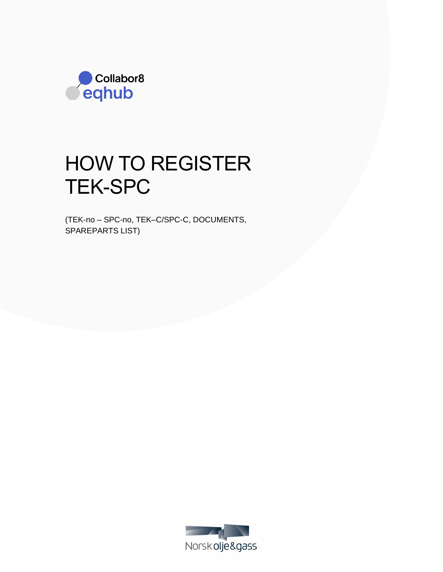

# HOW TO REGISTER TEK-SPC

(TEK-no – SPC-no, TEK–C/SPC-C, DOCUMENTS, SPAREPARTS LIST)

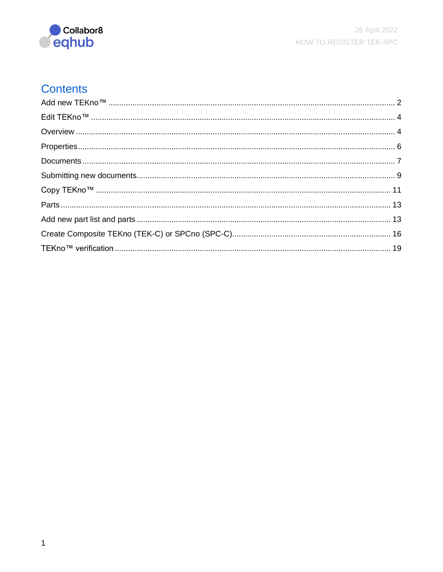

# **Contents**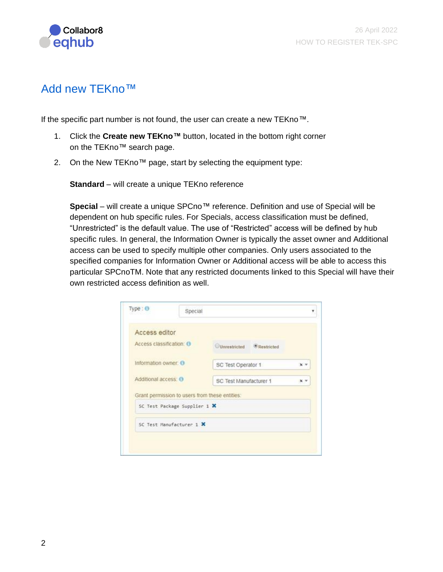

## <span id="page-2-0"></span>Add new TEKno™

If the specific part number is not found, the user can create a new TEKno™.

- 1. Click the **Create new TEKno™** button, located in the bottom right corner on the TEKno™ search page.
- 2. On the New TEKno™ page, start by selecting the equipment type:

**Standard** – will create a unique TEKno reference

Special – will create a unique SPCno<sup>™</sup> reference. Definition and use of Special will be dependent on hub specific rules. For Specials, access classification must be defined, "Unrestricted" is the default value. The use of "Restricted" access will be defined by hub specific rules. In general, the Information Owner is typically the asset owner and Additional access can be used to specify multiple other companies. Only users associated to the specified companies for Information Owner or Additional access will be able to access this particular SPCnoTM. Note that any restricted documents linked to this Special will have their own restricted access definition as well.

| Access editor            |                                                                                                            |                                                                                |  |
|--------------------------|------------------------------------------------------------------------------------------------------------|--------------------------------------------------------------------------------|--|
| Access classification: O |                                                                                                            |                                                                                |  |
| Information owner: O     |                                                                                                            | $x -$                                                                          |  |
| Additional access: 0     |                                                                                                            |                                                                                |  |
|                          |                                                                                                            |                                                                                |  |
|                          |                                                                                                            |                                                                                |  |
|                          |                                                                                                            |                                                                                |  |
|                          | Grant permission to users from these entities:<br>SC Test Package Supplier 1 X<br>SC Test Manufacturer 1 X | Unrestricted <i>Restricted</i><br>SC Test Operator 1<br>SC Test Manufacturer 1 |  |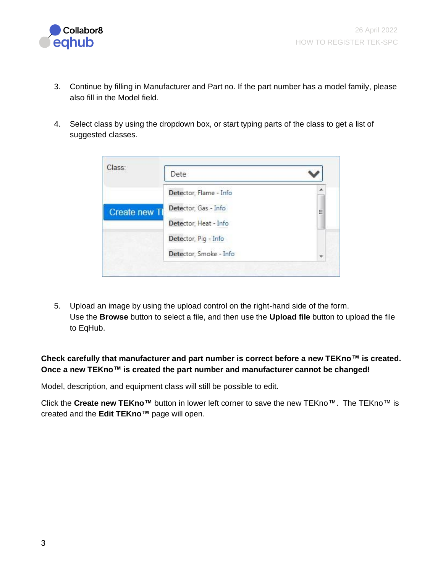

- 3. Continue by filling in Manufacturer and Part no. If the part number has a model family, please also fill in the Model field.
- 4. Select class by using the dropdown box, or start typing parts of the class to get a list of suggested classes.

| Class:               | Dete                   |                          |
|----------------------|------------------------|--------------------------|
|                      | Detector, Flame - Info | $\overline{\phantom{a}}$ |
| <b>Create new TI</b> | Detector, Gas - Info   | Ξ                        |
|                      | Detector, Heat - Info  |                          |
|                      | Detector, Pig - Info   |                          |
|                      | Detector, Smoke - Info | ÷                        |

5. Upload an image by using the upload control on the right-hand side of the form. Use the **Browse** button to select a file, and then use the **Upload file** button to upload the file to EqHub.

**Check carefully that manufacturer and part number is correct before a new TEKno™ is created. Once a new TEKno™ is created the part number and manufacturer cannot be changed!**

Model, description, and equipment class will still be possible to edit.

Click the **Create new TEKno™** button in lower left corner to save the new TEKno™. The TEKno™ is created and the **Edit TEKno™** page will open.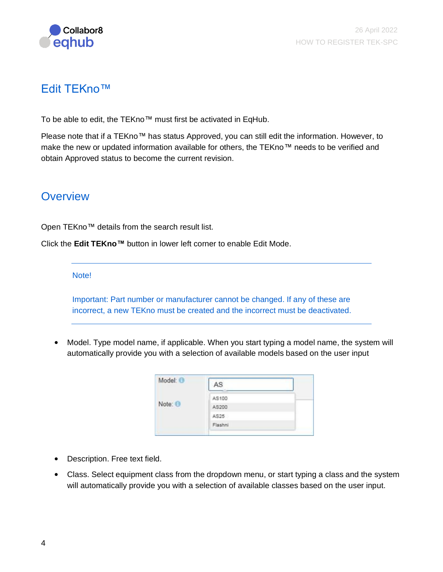

# <span id="page-4-0"></span>Edit TEKno™

To be able to edit, the TEKno™ must first be activated in EqHub.

Please note that if a TEKno™ has status Approved, you can still edit the information. However, to make the new or updated information available for others, the TEKno™ needs to be verified and obtain Approved status to become the current revision.

## <span id="page-4-1"></span>**Overview**

Open TEKno™ details from the search result list.

Click the **Edit TEKno™** button in lower left corner to enable Edit Mode.

Note!

Important: Part number or manufacturer cannot be changed. If any of these are incorrect, a new TEKno must be created and the incorrect must be deactivated.

• Model. Type model name, if applicable. When you start typing a model name, the system will automatically provide you with a selection of available models based on the user input

| Model: O | AS      |  |
|----------|---------|--|
|          | AS100   |  |
| Note: O  | AS200   |  |
|          | AS25    |  |
|          | Flashni |  |
|          |         |  |

- Description. Free text field.
- Class. Select equipment class from the dropdown menu, or start typing a class and the system will automatically provide you with a selection of available classes based on the user input.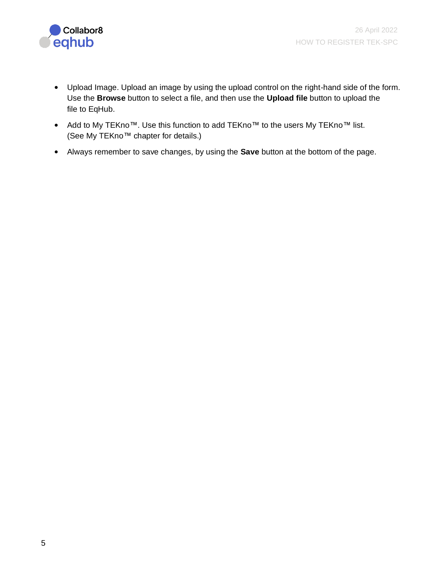

- Upload Image. Upload an image by using the upload control on the right-hand side of the form. Use the **Browse** button to select a file, and then use the **Upload file** button to upload the file to EqHub.
- Add to My TEKno™. Use this function to add TEKno™ to the users My TEKno™ list. (See My TEKno™ chapter for details.)
- Always remember to save changes, by using the **Save** button at the bottom of the page.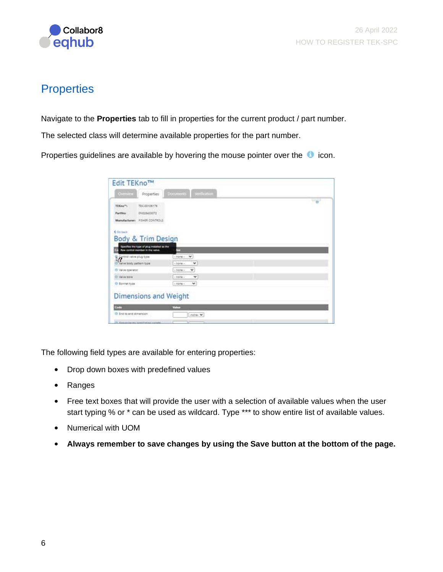

# <span id="page-6-0"></span>**Properties**

Navigate to the **Properties** tab to fill in properties for the current product / part number.

The selected class will determine available properties for the part number.

Properties guidelines are available by hovering the mouse pointer over the  $\bullet$  icon.

| Constitute Properties                                                                                                     | <b>Ducuments</b> Verification |        |
|---------------------------------------------------------------------------------------------------------------------------|-------------------------------|--------|
| TEIC 00106178<br>TEKno <sup>m</sup> t                                                                                     |                               | $-a$ . |
| CTOELLAGONO<br><b>PartMen</b>                                                                                             |                               |        |
| Manufacturers FISHER CONTROLS                                                                                             |                               |        |
|                                                                                                                           |                               |        |
| C Go back                                                                                                                 |                               |        |
| Body & Trim Design                                                                                                        |                               |        |
|                                                                                                                           |                               |        |
| pecifies the type of plug installed as the<br>÷,<br>Row control member in the valve.                                      | ÷                             |        |
|                                                                                                                           | ٧<br>$1$ digital $x$ .        |        |
|                                                                                                                           |                               |        |
| If you a body pattern type                                                                                                | $\checkmark$<br>$-$ home $-$  |        |
|                                                                                                                           | ×<br>$+3000 +$                |        |
|                                                                                                                           | $\checkmark$<br>$+$ movie $-$ |        |
|                                                                                                                           | $\checkmark$<br>$+10000 +$    |        |
|                                                                                                                           |                               |        |
|                                                                                                                           |                               |        |
|                                                                                                                           |                               |        |
|                                                                                                                           | Value                         |        |
| 1/2<br>(I) Valve operator<br>(I) Value bore<br>O Bonnet type<br><b>Dimensions and Weight</b><br>Code<br>O Insteredimenses | chone. M.                     |        |

The following field types are available for entering properties:

- Drop down boxes with predefined values
- Ranges
- Free text boxes that will provide the user with a selection of available values when the user start typing % or  $*$  can be used as wildcard. Type \*\*\* to show entire list of available values.
- Numerical with UOM
- **Always remember to save changes by using the Save button at the bottom of the page.**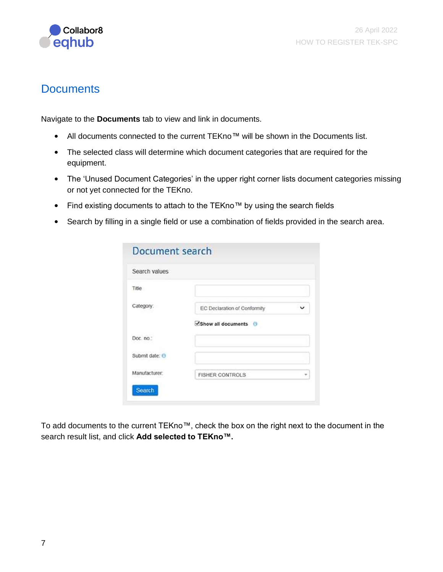

## <span id="page-7-0"></span>**Documents**

Navigate to the **Documents** tab to view and link in documents.

- All documents connected to the current TEKno™ will be shown in the Documents list.
- The selected class will determine which document categories that are required for the equipment.
- The 'Unused Document Categories' in the upper right corner lists document categories missing or not yet connected for the TEKno.
- Find existing documents to attach to the TEKno™ by using the search fields
- Search by filling in a single field or use a combination of fields provided in the search area.

| Search values  |                              |  |
|----------------|------------------------------|--|
| Title          |                              |  |
| Category:      | EC Declaration of Conformity |  |
|                | Show all documents 0         |  |
| Doc. no.:      |                              |  |
| Submit date: 0 |                              |  |
| Manufacturer:  | <b>FISHER CONTROLS</b>       |  |

To add documents to the current TEKno™, check the box on the right next to the document in the search result list, and click **Add selected to TEKno™.**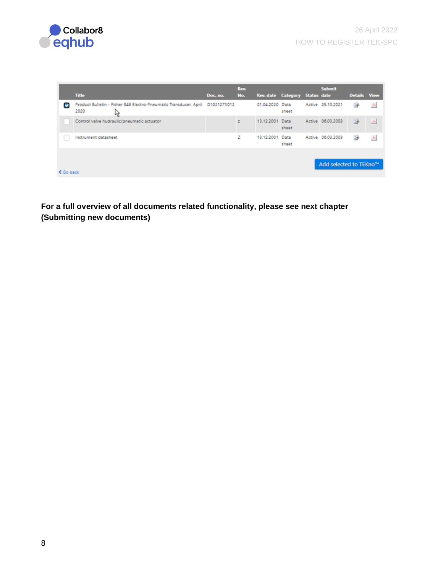



|           | <b>Title</b>                                                                                | Doc. no. | Rev.<br>No. | Rev. date Category Status date |       | <b>Submit</b>          | Details View   |   |
|-----------|---------------------------------------------------------------------------------------------|----------|-------------|--------------------------------|-------|------------------------|----------------|---|
|           | Product Bulletin - Fisher 846 Electro-Pneumatic Transducer, April D102127X012<br>2020<br>١Ķ |          |             | 01.04.2020 Data                | sheet | Active 25.10.2021      | ₿              | 人 |
|           | Control valve hudraulic/pneumatic actuator                                                  |          | z           | 13.12.2001 Data                | sheet | Active 06.03.2003      | B <sub>2</sub> | 人 |
|           | Instrument datasheet                                                                        |          | z           | 13.12.2001 Data                | sheet | Active 06.03.2003      |                | 스 |
|           |                                                                                             |          |             |                                |       |                        |                |   |
|           |                                                                                             |          |             |                                |       | Add selected to TEKno™ |                |   |
| ₹ Go back |                                                                                             |          |             |                                |       |                        |                |   |

**For a full overview of all documents related functionality, please see next chapter (Submitting new documents)**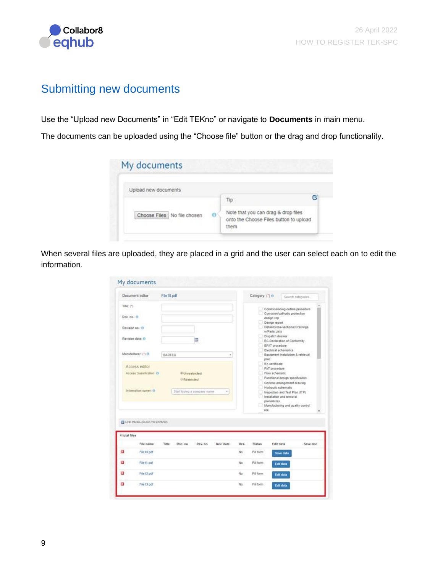

## <span id="page-9-0"></span>Submitting new documents

Use the "Upload new Documents" in "Edit TEKno" or navigate to **Documents** in main menu.

The documents can be uploaded using the "Choose file" button or the drag and drop functionality.

| e<br>13D                                                                              |
|---------------------------------------------------------------------------------------|
| Note that you can drag & drop files<br>onto the Choose Files button to upload<br>them |
|                                                                                       |

When several files are uploaded, they are placed in a grid and the user can select each on to edit the information.

|                        | Document editor                                                    | File 10 pdf                                      |                   | Category: (") @ |                                                                                                                                                                                                                             | Search categories. |
|------------------------|--------------------------------------------------------------------|--------------------------------------------------|-------------------|-----------------|-----------------------------------------------------------------------------------------------------------------------------------------------------------------------------------------------------------------------------|--------------------|
| Title: (*)<br>Doc.no.0 | Revision no.: 0<br>Revision date: O                                |                                                  |                   |                 | Commissioning outline procedure<br>Corrosion/cathodic protection<br>design rep.<br>Design report<br>Detail/Cross-sectional Drawings<br>w/Parts Lists<br>Dispatch dossier<br>EC Declaration of Conformity.<br>EFAT procedure |                    |
|                        | Manufacturer: (*) O                                                | BARTEC                                           | ٠                 | proc.           | Electrical schematics<br>Equipment installation & retrieval                                                                                                                                                                 |                    |
|                        | Access editor<br>Access classification: ()<br>Information owner: O | Unrestricted<br><b><i><u>GReatricted</u></i></b> |                   |                 | EX certificate<br>FAT procedure<br>Flow schematic<br>Functional design specification<br>General arrangement drawing<br>Hydraulic schematic                                                                                  |                    |
|                        | LINK PANEL (CLICK TO EXPAND)                                       | Start typing a company name                      | ٠                 | rec.            | Inspection and Test Plan (ITP)<br>Installation and removal<br>procedures<br>Manufacturing and quality control                                                                                                               |                    |
| 4 total files          |                                                                    |                                                  |                   |                 |                                                                                                                                                                                                                             |                    |
|                        | File name                                                          | Title<br>Doc. no<br>Rev. no                      | Rev. date<br>Res. | Status          | Edit data                                                                                                                                                                                                                   | Save doc           |
|                        | File 10 pdf                                                        |                                                  | No                | Fill form       | Save data                                                                                                                                                                                                                   |                    |
|                        |                                                                    |                                                  | No.               | Fill form       | Edit data                                                                                                                                                                                                                   |                    |
|                        | File11 pdf                                                         |                                                  |                   |                 |                                                                                                                                                                                                                             |                    |
| E3<br>a<br>Ë.          | File12.pdf                                                         |                                                  | No:               | Fill form       | <b>Edit data</b>                                                                                                                                                                                                            |                    |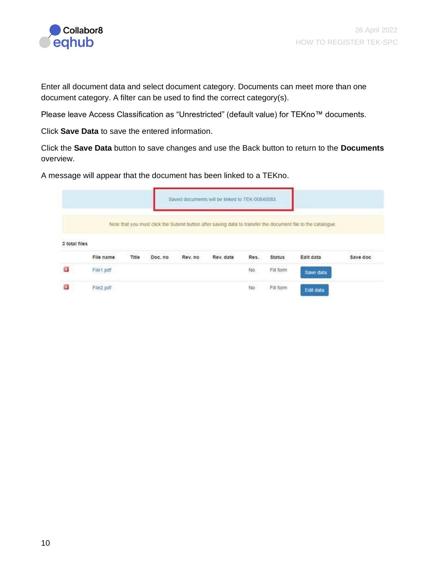

Enter all document data and select document category. Documents can meet more than one document category. A filter can be used to find the correct category(s).

Please leave Access Classification as "Unrestricted" (default value) for TEKno™ documents.

Click **Save Data** to save the entered information.

Click the **Save Data** button to save changes and use the Back button to return to the **Documents** overview.

A message will appear that the document has been linked to a TEKno.

|                    |           |       |         |         | Saved documents will be linked to TEK-00840083. |      |               |                                                                                                              |          |
|--------------------|-----------|-------|---------|---------|-------------------------------------------------|------|---------------|--------------------------------------------------------------------------------------------------------------|----------|
|                    |           |       |         |         |                                                 |      |               | Note that you must click the Submit button after saving data to transfer the document file to the catalogue. |          |
|                    |           |       |         |         |                                                 |      |               |                                                                                                              |          |
|                    |           |       |         |         |                                                 |      |               |                                                                                                              |          |
|                    | File name | Title | Doc. no | Rev. no | Rev. date                                       | Res. | <b>Status</b> | Edit data                                                                                                    | Save doc |
| 3 total files<br>× | File1.pdf |       |         |         |                                                 | No   | Fill form     | Save data                                                                                                    |          |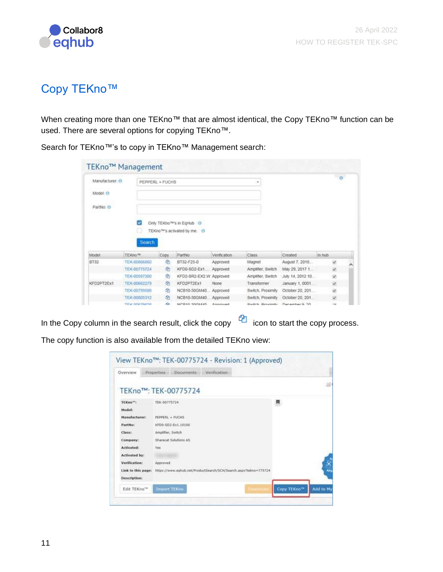

# <span id="page-11-0"></span>Copy TEKno™

When creating more than one TEKno™ that are almost identical, the Copy TEKno™ function can be used. There are several options for copying TEKno™.

| Manufacturer: O<br>Model: O<br>PartNo: O |                              | PEPPERL + FUCHS |                                         |                      | $\equiv$                    |                                     |          | $\theta$ |
|------------------------------------------|------------------------------|-----------------|-----------------------------------------|----------------------|-----------------------------|-------------------------------------|----------|----------|
|                                          | u                            |                 | Only TEKno <sup>twi</sup> s in EgHub 1  |                      |                             |                                     |          |          |
|                                          | <b>Search</b>                |                 | TEKno <sup>n</sup> s activated by me. 0 |                      |                             |                                     |          |          |
|                                          | TEKno™                       | Copy            | PartNo<br>BT32-F25-0                    | Verification         | Class.                      | Created                             | In hub   |          |
|                                          | TEX-00866860<br>TEK-00775724 | ø<br>ø          | KFD0-SD2-Ext.                           | Approved<br>Approved | Magnet<br>Amplifier, Switch | August 7, 2018                      | W.       |          |
|                                          | TEK-00587300                 | ø               | KFD2-SR2-EX2 W Approved                 |                      | Amplifier, Switch           | May 29, 2017 1<br>July 14, 2012 10. | U)       |          |
|                                          | TEK-00662279                 | Ø1              | KFD2PT2Ex1                              | None                 | Transformer                 | January 1, 0001                     | S)<br>Q. |          |
|                                          | TEK-00799508                 | 21              | NCB10-30GM40 Approved                   |                      | Switch, Proximity           | October 20, 201                     | W)       |          |
| Model<br>BT32<br>KFD2PT2Ex1              | TEK-00805312                 | 21              | NCB10-30GM40 Approved                   |                      | Switch, Proximity           | October 20, 201.                    | W.       |          |

Search for TEKno™'s to copy in TEKno™ Management search:

In the Copy column in the search result, click the copy  $\Box$  icon to start the copy process.

The copy function is also available from the detailed TEKno view:

| Overview                       | Properties Documents Verification                                |                                        |
|--------------------------------|------------------------------------------------------------------|----------------------------------------|
|                                | TEKno™: TEK-00775724                                             |                                        |
| TEKno <sup>w</sup> :<br>Model: | TEK-00775724                                                     | ▩                                      |
| Manufacturer:                  | PEPPERL + FUCHS                                                  |                                        |
| PartNo:                        | KFD0-SD2-Ex1.10100                                               |                                        |
| Class:                         | Amplifier, Switch                                                |                                        |
| Company:                       | Sharecat Solutions AS                                            |                                        |
| Activated:                     | <b>Yes</b>                                                       |                                        |
| <b>Activated by:</b>           |                                                                  |                                        |
| Verification:                  | Approved                                                         |                                        |
| Link to this page:             | https://www.eqhub.net/ProductSearch/SCH/Search.aspx?tekno=775724 |                                        |
| Description:                   |                                                                  |                                        |
| Edit TEKno <sup>na</sup>       | <b>Import TEKno</b><br>Descrivate                                | Add to My<br>Copy TEKno <sup>114</sup> |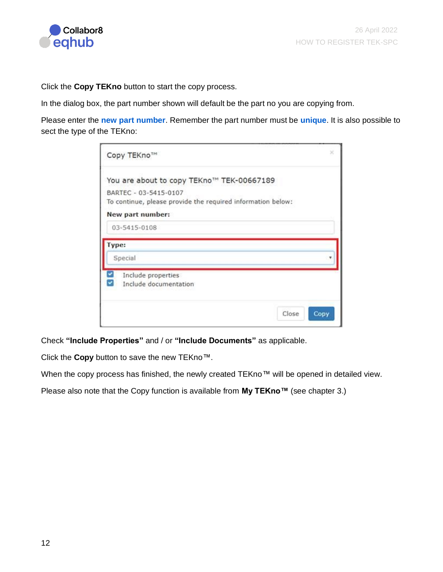

Click the **Copy TEKno** button to start the copy process.

In the dialog box, the part number shown will default be the part no you are copying from.

Please enter the **new part number**. Remember the part number must be **unique**. It is also possible to sect the type of the TEKno:

| Copy TEKno™                                                 | ×     |
|-------------------------------------------------------------|-------|
| You are about to copy TEKno™ TEK-00667189                   |       |
| BARTEC - 03-5415-0107                                       |       |
| To continue, please provide the required information below: |       |
| New part number:                                            |       |
| 03-5415-0108                                                |       |
| Type:                                                       |       |
| Special                                                     |       |
| Include properties                                          |       |
| Include documentation                                       |       |
|                                                             |       |
|                                                             | Close |

Check **"Include Properties"** and / or **"Include Documents"** as applicable.

Click the **Copy** button to save the new TEKno™.

When the copy process has finished, the newly created TEKno™ will be opened in detailed view.

Please also note that the Copy function is available from **My TEKno™** (see chapter 3.)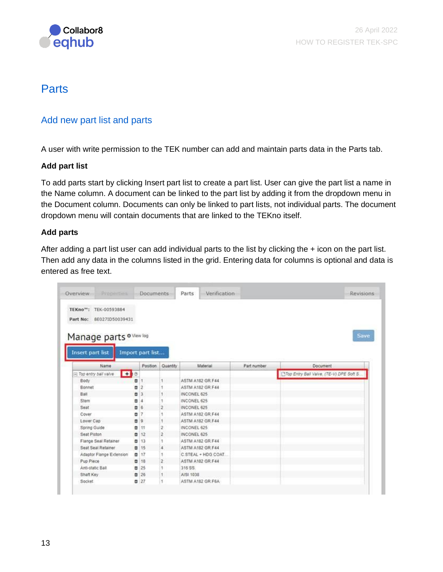

## <span id="page-13-0"></span>**Parts**

### <span id="page-13-1"></span>Add new part list and parts

A user with write permission to the TEK number can add and maintain parts data in the Parts tab.

#### **Add part list**

To add parts start by clicking Insert part list to create a part list. User can give the part list a name in the Name column. A document can be linked to the part list by adding it from the dropdown menu in the Document column. Documents can only be linked to part lists, not individual parts. The document dropdown menu will contain documents that are linked to the TEKno itself.

#### **Add parts**

After adding a part list user can add individual parts to the list by clicking the + icon on the part list. Then add any data in the columns listed in the grid. Entering data for columns is optional and data is entered as free text.

| Properties<br>Overview                             |                | <b>Documents</b>                 |                | Verification<br>Parts      |             | Revisions                                |
|----------------------------------------------------|----------------|----------------------------------|----------------|----------------------------|-------------|------------------------------------------|
| TEKno": TEK-00593884<br>Part No: 8E027ID50039431   |                |                                  |                |                            |             |                                          |
| Manage parts o Mew log<br>Insert part list<br>Name |                | Import part list                 | Quantity       | Material                   | Part number | Save<br>Document                         |
|                                                    |                | Position                         |                |                            |             |                                          |
| $+10$<br>Top entry ball valve                      |                |                                  |                |                            |             | Top Entry Ball Valve, (TE-V) DPE Soft S. |
| Body                                               | ۰              |                                  | 1              | <b>ASTM A182 GR F44</b>    |             |                                          |
| Bonnet                                             | ø              | $\overline{2}$<br>$\overline{3}$ |                | <b>ASTM A182 GR.F44</b>    |             |                                          |
| Ball                                               | $\blacksquare$ |                                  |                | INCONEL 625<br>INCONEL 625 |             |                                          |
| Stem                                               | ۰<br>B6        | A                                |                | INCONEL 625                |             |                                          |
| Seat<br>Cover                                      |                | 17                               |                | ASTM A182 GR.F44           |             |                                          |
| Lower Cap                                          | ۰              |                                  |                | ASTM A182 GR.F44           |             |                                          |
|                                                    | ۰              | 19<br>11                         |                | INCONEL 625                |             |                                          |
| Spring Guide<br>Seat Piston                        | ۰<br>$\alpha$  | 12                               |                | INCONEL 625                |             |                                          |
| Flange Seal Retainer                               | ۰              | 13                               | 2              | <b>ASTM A182 GR.F44</b>    |             |                                          |
| Seat Seat Retainer                                 | ■ 15           |                                  | 4              | ASTM A182 GR.F44           |             |                                          |
| Adaptor Flange Extension                           | 0.17           |                                  | 1              | C STEAL + HDG COAT.        |             |                                          |
| Pup Piece                                          | ۰              | 13                               | $\overline{2}$ | ASTM A182 GR.F44           |             |                                          |
| Anti-static Ball                                   | ۰              | 25                               |                | 316 SS.                    |             |                                          |
|                                                    |                | $\sqrt{26}$                      | 1              | AISI 1038                  |             |                                          |
| Shaft Key                                          |                |                                  |                |                            |             |                                          |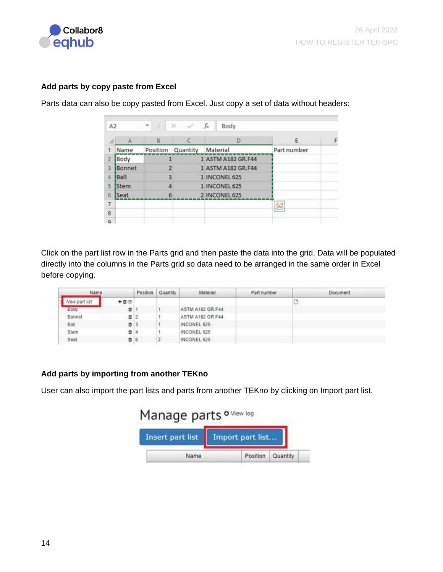

#### **Add parts by copy paste from Excel**

Parts data can also be copy pasted from Excel. Just copy a set of data without headers:

| A2             |               | ÷<br>$\;$      | $X - V$  | $f_x$<br>Body      |             |   |
|----------------|---------------|----------------|----------|--------------------|-------------|---|
|                | А             | B              | с        | D                  | Ε           | F |
|                | Name          | Position       | Quantity | Material           | Part number |   |
| 2              | Body          |                |          | 1 ASTM A182 GR.F44 |             |   |
| 3              | Bonnet        | $\overline{2}$ |          | 1 ASTM A182 GR.F44 |             |   |
| 4              | <b>Ball</b>   | 3              |          | 1 INCONEL 625      |             |   |
| 5              | <b>I</b> Stem | 4              |          | 1 INCONEL 625      |             |   |
| 6              | Seat          | 6              |          | 2 INCONEL 625      |             |   |
| $\overline{7}$ |               |                |          |                    | 臽           |   |
| 8              |               |                |          |                    |             |   |
| Q              |               |                |          |                    |             |   |

Click on the part list row in the Parts grid and then paste the data into the grid. Data will be populated directly into the columns in the Parts grid so data need to be arranged in the same order in Excel before copying.

| Name          |          | Position | Quantity | Material         | Part number | <b>Document</b> |
|---------------|----------|----------|----------|------------------|-------------|-----------------|
| Vew part list | 十百①      |          |          |                  |             |                 |
| Body          | ٥        |          |          | ASTM A182 GR.F44 |             |                 |
| Bonnet        | $\Box$ 2 |          |          | ASTM A182 GR.F44 |             |                 |
| Ball          | ■ 3      |          |          | INCONEL 625      |             |                 |
| Stem          | ۰        |          |          | INCONEL 625      |             |                 |
| Seat          | □ 6      |          |          | INCONEL 625      |             |                 |

#### **Add parts by importing from another TEKno**

User can also import the part lists and parts from another TEKno by clicking on Import part list.

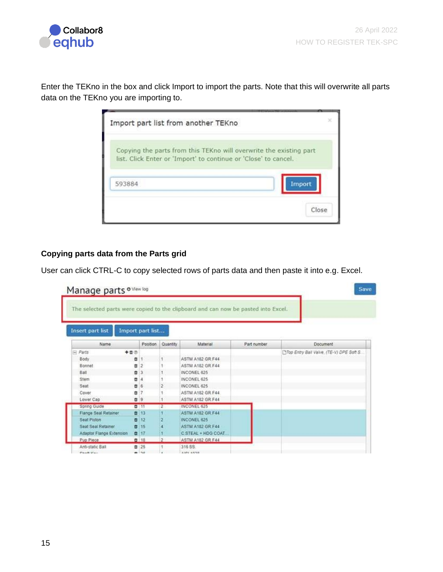

Enter the TEKno in the box and click Import to import the parts. Note that this will overwrite all parts data on the TEKno you are importing to.

| Import part list from another TEKno                             |                                                                    |
|-----------------------------------------------------------------|--------------------------------------------------------------------|
| list. Click Enter or 'Import' to continue or 'Close' to cancel. | Copying the parts from this TEKno will overwrite the existing part |
| 593884                                                          | Import                                                             |
|                                                                 | Close                                                              |

#### **Copying parts data from the Parts grid**

User can click CTRL-C to copy selected rows of parts data and then paste it into e.g. Excel.

| Manage parts o Mew log                                                            |                     |               |                         |             | Save                                     |
|-----------------------------------------------------------------------------------|---------------------|---------------|-------------------------|-------------|------------------------------------------|
| The selected parts were copied to the clipboard and can now be pasted into Excel. |                     |               |                         |             |                                          |
| <b>Insert part list</b><br>Import part list                                       |                     |               |                         |             |                                          |
| Name                                                                              | Position            | Quantity      | Material                | Part number | <b>Document</b>                          |
| 十百の<br>E Parts                                                                    |                     |               |                         |             | Top Entry Ball Valve, (TE-V) DPE Soft S. |
| Body                                                                              | ٥                   |               | ASTM A182 GR.F44        |             |                                          |
| Bonnet                                                                            | 申<br>$\overline{2}$ |               | ASTM A182 GR.F44        |             |                                          |
| Ball                                                                              | B3                  |               | INCONEL 625             |             |                                          |
| Stem                                                                              | ۰<br>4              |               | INCONEL 625             |             |                                          |
| Seat                                                                              | <b>百6</b>           |               | INCONEL 625             |             |                                          |
| Cover                                                                             | á                   |               | <b>ASTM A182 GR.F44</b> |             |                                          |
| Lower Cap                                                                         | <b>自9</b>           |               | ASTM A182 GR.F44        |             |                                          |
| Spring Guide                                                                      | ■ 15                |               | <b>INCONEL 625</b>      |             |                                          |
| Flange Seal Retainer                                                              | ■ 13                |               | ASTM A182 GR.F44        |             |                                          |
| Seat Piston                                                                       | ■ 12                |               | INCONEL 625             |             |                                          |
| Seat Seal Retainer                                                                | ■ 15                |               | <b>ASTM A182 GR:F44</b> |             |                                          |
| Adaptor Flange Extension                                                          | ■ 17                |               | C STEAL + HDG COAT      |             |                                          |
| Pup Piece                                                                         | □ 18                | $\mathcal{D}$ | ASTM A182 GR F44        |             |                                          |
| Anti-static Ball                                                                  | 0:25                |               | 316.59                  |             |                                          |
| Charles March                                                                     | $-120$              |               | AIRE AKSO               |             |                                          |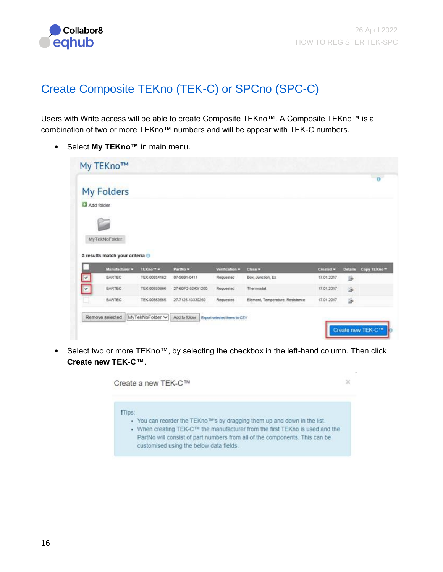

# <span id="page-16-0"></span>Create Composite TEKno (TEK-C) or SPCno (SPC-C)

Users with Write access will be able to create Composite TEKno™. A Composite TEKno™ is a combination of two or more TEKno™ numbers and will be appear with TEK-C numbers.

• Select **My TEKno™** in main menu.

|            |                                 |              |                   |                   |                                  |            |                | $\bullet$                |
|------------|---------------------------------|--------------|-------------------|-------------------|----------------------------------|------------|----------------|--------------------------|
|            | My Folders                      |              |                   |                   |                                  |            |                |                          |
| Add folder |                                 |              |                   |                   |                                  |            |                |                          |
|            |                                 |              |                   |                   |                                  |            |                |                          |
|            |                                 |              |                   |                   |                                  |            |                |                          |
|            |                                 |              |                   |                   |                                  |            |                |                          |
|            |                                 |              |                   |                   |                                  |            |                |                          |
|            | MyTekNoFolder                   |              |                   |                   |                                  |            |                |                          |
|            |                                 |              |                   |                   |                                  |            |                |                          |
|            | 3 results match your criteria O |              |                   |                   |                                  |            |                |                          |
|            | Manufacturer =                  | TEKno™ +     | Partito =         | Verification =    | $Clans =$                        | Created *  | <b>Details</b> |                          |
|            | <b>BARTEC</b>                   | TEK-00854162 | 07-5681-0411      | <b>Flequested</b> | Box, Junction, Ex.               | 17.01.2017 | 多              |                          |
|            | <b>BARTEC</b>                   | TEK-00853666 | 27-60F2-5243/1200 | Requested         | Thermostat                       | 17.01.2017 | 涂              |                          |
| v          | BARTEC                          | TEK-00853665 | 27-7125-13330250  | Requested         | Element, Temperature, Resistance | 17.01.2017 | 區              | Copy TEKno <sup>re</sup> |

• Select two or more TEKno™, by selecting the checkbox in the left-hand column. Then click **Create new TEK-C™**.

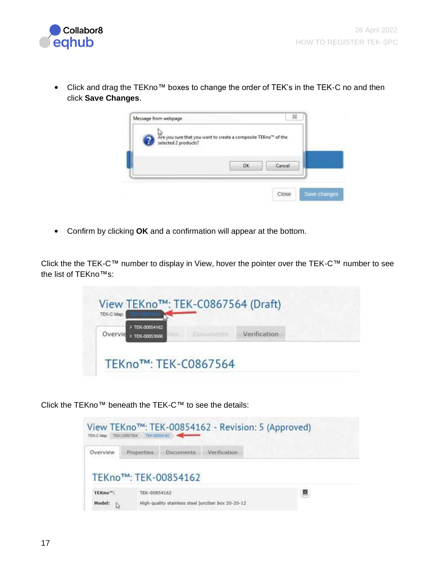

• Click and drag the TEKno™ boxes to change the order of TEK's in the TEK-C no and then click **Save Changes**.

|                      | las<br>Are you sure that you want to create a composite TEKno™ of the |  |
|----------------------|-----------------------------------------------------------------------|--|
| selected 2 products? |                                                                       |  |
|                      | OK<br>Cancel                                                          |  |
|                      |                                                                       |  |

• Confirm by clicking **OK** and a confirmation will appear at the bottom.

Click the the TEK-C™ number to display in View, hover the pointer over the TEK-C™ number to see the list of TEKno™s:



Click the TEKno™ beneath the TEK-C™ to see the details:

| TEK-C Map: TEK-C0067564          | TEIC00854162      |                      | View TEKno™: TEK-00854162 - Revision: 5 (Approved) |   |
|----------------------------------|-------------------|----------------------|----------------------------------------------------|---|
| Overview                         | <b>Properties</b> | <b>Documents</b>     | Verification                                       |   |
|                                  |                   | TEKno™: TEK-00854162 |                                                    |   |
| TEKno <sup>114</sup> :<br>Model: | TEK-00854162      |                      | High-quality stainless steel junction box 20-20-12 | ▣ |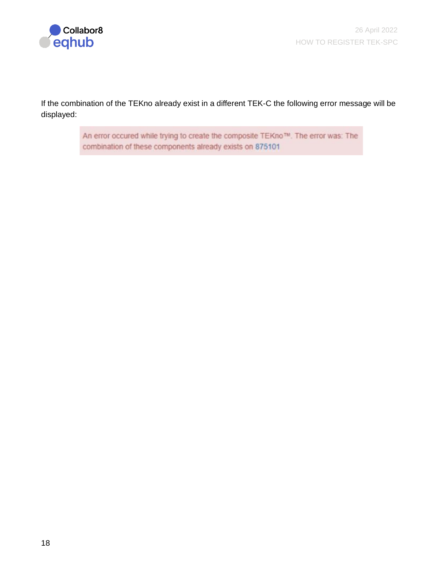

If the combination of the TEKno already exist in a different TEK-C the following error message will be displayed:

> An error occured while trying to create the composite TEKno™. The error was: The combination of these components already exists on 875101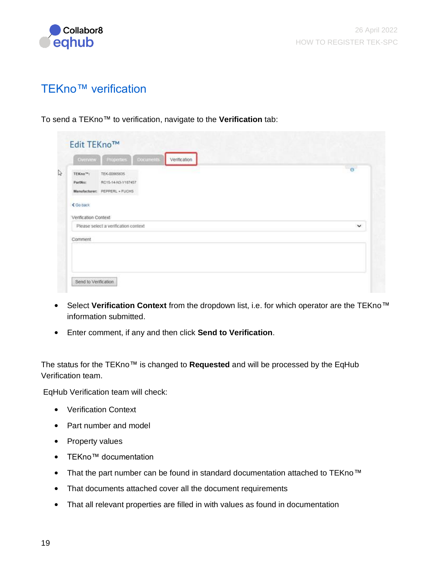

# <span id="page-19-0"></span>TEKno™ verification

To send a TEKno™ to verification, navigate to the **Verification** tab:

|                       |                                      | $\sigma$     |
|-----------------------|--------------------------------------|--------------|
| TEKno <sup>16</sup> : | TEX-00065635                         |              |
| PartNo:               | RC15-14-N3-Y187457                   |              |
|                       | Manufacturer: PEPPERL + FUCHS        |              |
| ₹ Go back             |                                      |              |
|                       |                                      |              |
| Verification Context  |                                      |              |
|                       | Please select a verification context | $\checkmark$ |
| Comment               |                                      |              |
|                       |                                      |              |
|                       |                                      |              |
|                       |                                      |              |

- Select **Verification Context** from the dropdown list, i.e. for which operator are the TEKno™ information submitted.
- Enter comment, if any and then click **Send to Verification**.

The status for the TEKno™ is changed to **Requested** and will be processed by the EqHub Verification team.

EqHub Verification team will check:

- Verification Context
- Part number and model
- Property values
- TEKno™ documentation
- That the part number can be found in standard documentation attached to TEKno™
- That documents attached cover all the document requirements
- That all relevant properties are filled in with values as found in documentation